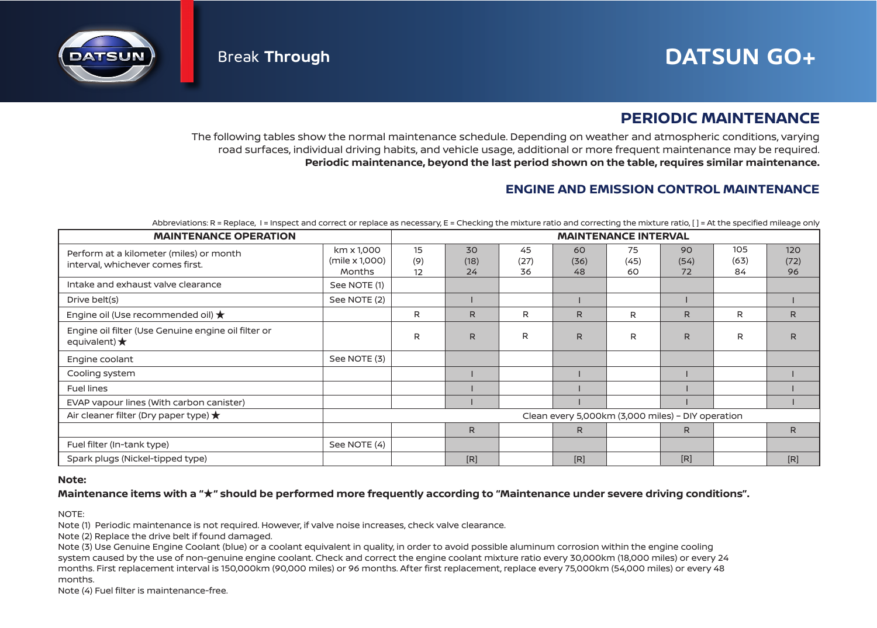

## **PERIODIC MAINTENANCE**

The following tables show the normal maintenance schedule. Depending on weather and atmospheric conditions, varying road surfaces, individual driving habits, and vehicle usage, additional or more frequent maintenance may be required. **Periodic maintenance, beyond the last period shown on the table, requires similar maintenance.**

## **ENGINE AND EMISSION CONTROL MAINTENANCE**

| Abbreviations: R = Replace, I = Inspect and correct or replace as necessary, E = Checking the mixture ratio and correcting the mixture ratio, [] = At the specified mileage only |
|----------------------------------------------------------------------------------------------------------------------------------------------------------------------------------|
|----------------------------------------------------------------------------------------------------------------------------------------------------------------------------------|

| <b>MAINTENANCE OPERATION</b>                                                  | <b>MAINTENANCE INTERVAL</b>                       |                 |                  |                  |                  |                  |                  |                   |                   |
|-------------------------------------------------------------------------------|---------------------------------------------------|-----------------|------------------|------------------|------------------|------------------|------------------|-------------------|-------------------|
| Perform at a kilometer (miles) or month<br>interval, whichever comes first.   | km x 1,000<br>(mile x 1,000)<br><b>Months</b>     | 15<br>(9)<br>12 | 30<br>(18)<br>24 | 45<br>(27)<br>36 | 60<br>(36)<br>48 | 75<br>(45)<br>60 | 90<br>(54)<br>72 | 105<br>(63)<br>84 | 120<br>(72)<br>96 |
| Intake and exhaust valve clearance                                            | See NOTE (1)                                      |                 |                  |                  |                  |                  |                  |                   |                   |
| Drive belt(s)                                                                 | See NOTE (2)                                      |                 |                  |                  |                  |                  |                  |                   |                   |
| Engine oil (Use recommended oil) $\bigstar$                                   |                                                   | R               | R                | R                | R                | R                | R.               | R                 | R                 |
| Engine oil filter (Use Genuine engine oil filter or<br>equivalent) $\bigstar$ |                                                   | R               | R.               | R                | R                | R                | R.               | R                 | R                 |
| Engine coolant                                                                | See NOTE (3)                                      |                 |                  |                  |                  |                  |                  |                   |                   |
| Cooling system                                                                |                                                   |                 |                  |                  |                  |                  |                  |                   |                   |
| <b>Fuel lines</b>                                                             |                                                   |                 |                  |                  |                  |                  |                  |                   |                   |
| EVAP vapour lines (With carbon canister)                                      |                                                   |                 |                  |                  |                  |                  |                  |                   |                   |
| Air cleaner filter (Dry paper type) $\bigstar$                                | Clean every 5,000km (3,000 miles) - DIY operation |                 |                  |                  |                  |                  |                  |                   |                   |
|                                                                               |                                                   |                 | $\mathsf{R}$     |                  | R.               |                  | R                |                   | R                 |
| Fuel filter (In-tank type)                                                    | See NOTE (4)                                      |                 |                  |                  |                  |                  |                  |                   |                   |
| Spark plugs (Nickel-tipped type)                                              |                                                   |                 | [R]              |                  | [R]              |                  | [R]              |                   | [R]               |

### **Note:**

### **Maintenance items with a " " should be performed more frequently according to "Maintenance under severe driving conditions".** ★

NOTE:

Note (1) Periodic maintenance is not required. However, if valve noise increases, check valve clearance.

Note (2) Replace the drive belt if found damaged.

Note (3) Use Genuine Engine Coolant (blue) or a coolant equivalent in quality, in order to avoid possible aluminum corrosion within the engine cooling system caused by the use of non-genuine engine coolant. Check and correct the engine coolant mixture ratio every 30,000km (18,000 miles) or every 24 months. First replacement interval is 150,000km (90,000 miles) or 96 months. After first replacement, replace every 75,000km (54,000 miles) or every 48 months.

Note (4) Fuel filter is maintenance-free.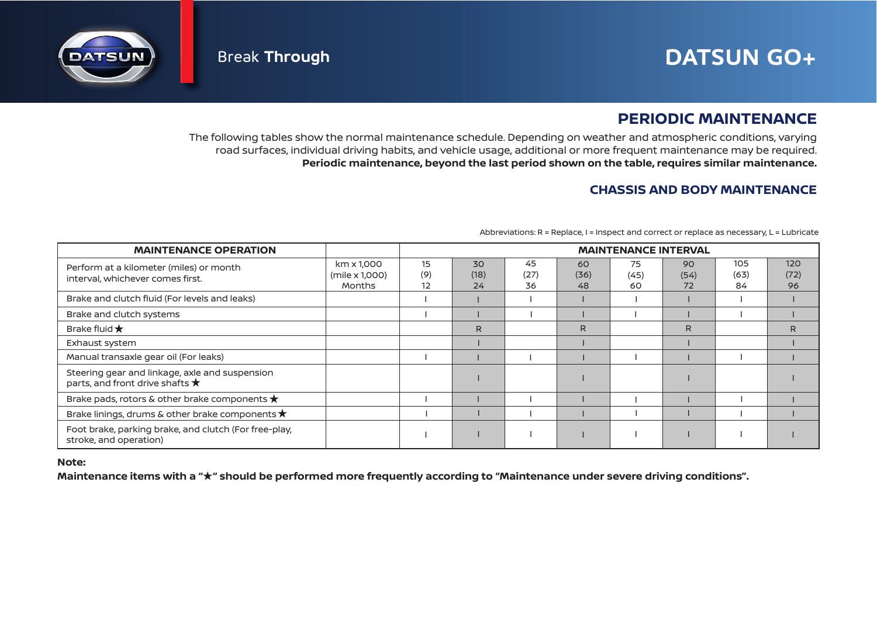# **Break Through Service Contracts of the DATSUN GO+**



## **PERIODIC MAINTENANCE**

The following tables show the normal maintenance schedule. Depending on weather and atmospheric conditions, varying road surfaces, individual driving habits, and vehicle usage, additional or more frequent maintenance may be required. **Periodic maintenance, beyond the last period shown on the table, requires similar maintenance.**

## **CHASSIS AND BODY MAINTENANCE**

| <b>MAINTENANCE OPERATION</b>                                                               |                                        | <b>MAINTENANCE INTERVAL</b>  |                  |                  |                  |                  |                  |                   |                   |
|--------------------------------------------------------------------------------------------|----------------------------------------|------------------------------|------------------|------------------|------------------|------------------|------------------|-------------------|-------------------|
| Perform at a kilometer (miles) or month<br>interval, whichever comes first.                | km x 1,000<br>(mile x 1,000)<br>Months | 15<br>(9)<br>12 <sup>2</sup> | 30<br>(18)<br>24 | 45<br>(27)<br>36 | 60<br>(36)<br>48 | 75<br>(45)<br>60 | 90<br>(54)<br>72 | 105<br>(63)<br>84 | 120<br>(72)<br>96 |
| Brake and clutch fluid (For levels and leaks)                                              |                                        |                              |                  |                  |                  |                  |                  |                   |                   |
| Brake and clutch systems                                                                   |                                        |                              |                  |                  |                  |                  |                  |                   |                   |
| Brake fluid $\bigstar$                                                                     |                                        |                              | R.               |                  | R                |                  | R.               |                   | R                 |
| Exhaust system                                                                             |                                        |                              |                  |                  |                  |                  |                  |                   |                   |
| Manual transaxle gear oil (For leaks)                                                      |                                        |                              |                  |                  |                  |                  |                  |                   |                   |
| Steering gear and linkage, axle and suspension<br>parts, and front drive shafts $\bigstar$ |                                        |                              |                  |                  |                  |                  |                  |                   |                   |
| Brake pads, rotors & other brake components $\bigstar$                                     |                                        |                              |                  |                  |                  |                  |                  |                   |                   |
| Brake linings, drums & other brake components $\star$                                      |                                        |                              |                  |                  |                  |                  |                  |                   |                   |
| Foot brake, parking brake, and clutch (For free-play,<br>stroke, and operation)            |                                        |                              |                  |                  |                  |                  |                  |                   |                   |

Abbreviations: R = Replace, I = Inspect and correct or replace as necessary, L = Lubricate

### **Note:**

Maintenance items with a " $\star$ " should be performed more frequently according to "Maintenance under severe driving conditions".